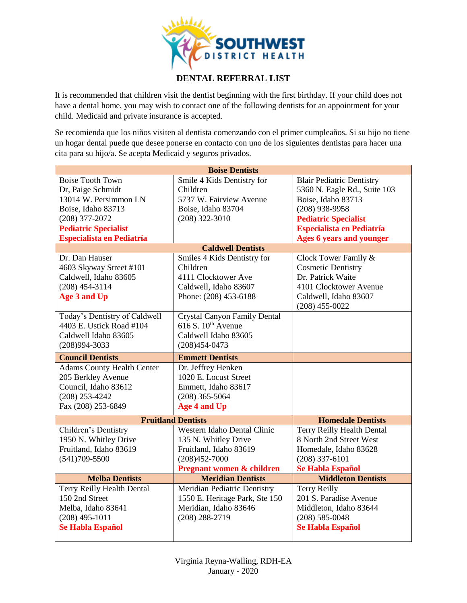

## **DENTAL REFERRAL LIST**

It is recommended that children visit the dentist beginning with the first birthday. If your child does not have a dental home, you may wish to contact one of the following dentists for an appointment for your child. Medicaid and private insurance is accepted.

Se recomienda que los niños visiten al dentista comenzando con el primer cumpleaños. Si su hijo no tiene un hogar dental puede que desee ponerse en contacto con uno de los siguientes dentistas para hacer una cita para su hijo/a. Se acepta Medicaid y seguros privados.

| <b>Boise Dentists</b>                  |                                             |                                        |  |
|----------------------------------------|---------------------------------------------|----------------------------------------|--|
| <b>Boise Tooth Town</b>                | Smile 4 Kids Dentistry for                  | <b>Blair Pediatric Dentistry</b>       |  |
| Dr, Paige Schmidt                      | Children                                    | 5360 N. Eagle Rd., Suite 103           |  |
| 13014 W. Persimmon LN                  | 5737 W. Fairview Avenue                     | Boise, Idaho 83713                     |  |
| Boise, Idaho 83713                     | Boise, Idaho 83704                          | $(208)$ 938-9958                       |  |
| $(208)$ 377-2072                       | $(208)$ 322-3010                            | <b>Pediatric Specialist</b>            |  |
| <b>Pediatric Specialist</b>            |                                             | <b>Especialista en Pediatría</b>       |  |
| <b>Especialista en Pediatría</b>       |                                             | <b>Ages 6 years and younger</b>        |  |
| <b>Caldwell Dentists</b>               |                                             |                                        |  |
| Dr. Dan Hauser                         | Smiles 4 Kids Dentistry for                 | Clock Tower Family &                   |  |
| 4603 Skyway Street #101                | Children                                    | <b>Cosmetic Dentistry</b>              |  |
| Caldwell, Idaho 83605                  | 4111 Clocktower Ave                         | Dr. Patrick Waite                      |  |
| $(208)$ 454-3114                       | Caldwell, Idaho 83607                       | 4101 Clocktower Avenue                 |  |
| Age 3 and Up                           | Phone: (208) 453-6188                       | Caldwell, Idaho 83607                  |  |
|                                        |                                             | $(208)$ 455-0022                       |  |
| Today's Dentistry of Caldwell          | <b>Crystal Canyon Family Dental</b>         |                                        |  |
| 4403 E. Ustick Road #104               | 616 S. $10^{th}$ Avenue                     |                                        |  |
| Caldwell Idaho 83605                   | Caldwell Idaho 83605                        |                                        |  |
| $(208)994 - 3033$                      | $(208)454 - 0473$                           |                                        |  |
|                                        |                                             |                                        |  |
|                                        |                                             |                                        |  |
| <b>Council Dentists</b>                | <b>Emmett Dentists</b>                      |                                        |  |
| <b>Adams County Health Center</b>      | Dr. Jeffrey Henken<br>1020 E. Locust Street |                                        |  |
| 205 Berkley Avenue                     |                                             |                                        |  |
| Council, Idaho 83612                   | Emmett, Idaho 83617                         |                                        |  |
| $(208)$ 253-4242<br>Fax (208) 253-6849 | $(208)$ 365-5064<br><b>Age 4 and Up</b>     |                                        |  |
|                                        |                                             |                                        |  |
|                                        | <b>Fruitland Dentists</b>                   | <b>Homedale Dentists</b>               |  |
| Children's Dentistry                   | Western Idaho Dental Clinic                 | Terry Reilly Health Dental             |  |
| 1950 N. Whitley Drive                  | 135 N. Whitley Drive                        | 8 North 2nd Street West                |  |
| Fruitland, Idaho 83619                 | Fruitland, Idaho 83619                      | Homedale, Idaho 83628                  |  |
| $(541)709 - 5500$                      | $(208)452 - 7000$                           | $(208)$ 337-6101                       |  |
|                                        | Pregnant women & children                   | Se Habla Español                       |  |
| <b>Melba Dentists</b>                  | <b>Meridian Dentists</b>                    | <b>Middleton Dentists</b>              |  |
| <b>Terry Reilly Health Dental</b>      | Meridian Pediatric Dentistry                | <b>Terry Reilly</b>                    |  |
| 150 2nd Street                         | 1550 E. Heritage Park, Ste 150              | 201 S. Paradise Avenue                 |  |
| Melba, Idaho 83641                     | Meridian, Idaho 83646                       | Middleton, Idaho 83644                 |  |
| $(208)$ 495-1011<br>Se Habla Español   | $(208) 288 - 2719$                          | $(208) 585 - 0048$<br>Se Habla Español |  |